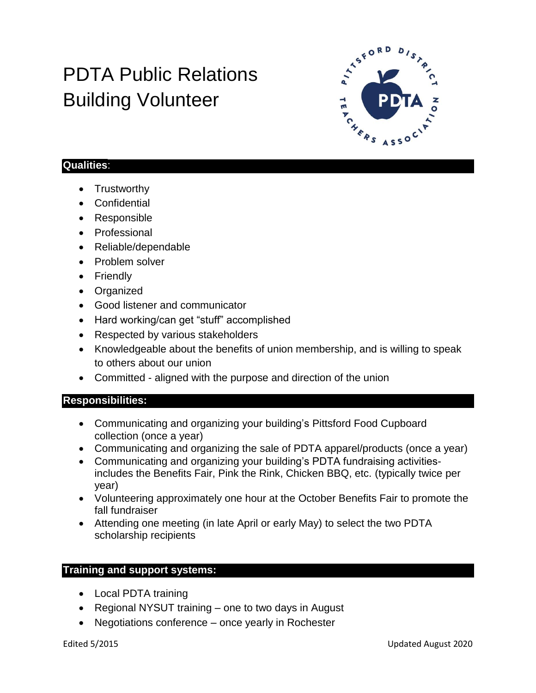## PDTA Public Relations Building Volunteer



## **Qualities**:

- Trustworthy
- Confidential
- Responsible
- Professional
- Reliable/dependable
- Problem solver
- Friendly
- Organized
- Good listener and communicator
- Hard working/can get "stuff" accomplished
- Respected by various stakeholders
- Knowledgeable about the benefits of union membership, and is willing to speak to others about our union
- Committed aligned with the purpose and direction of the union

## **Responsibilities:**

- Communicating and organizing your building's Pittsford Food Cupboard collection (once a year)
- Communicating and organizing the sale of PDTA apparel/products (once a year)
- Communicating and organizing your building's PDTA fundraising activitiesincludes the Benefits Fair, Pink the Rink, Chicken BBQ, etc. (typically twice per year)
- Volunteering approximately one hour at the October Benefits Fair to promote the fall fundraiser
- Attending one meeting (in late April or early May) to select the two PDTA scholarship recipients

## **Training and support systems:**

- Local PDTA training
- Regional NYSUT training one to two days in August
- Negotiations conference once yearly in Rochester